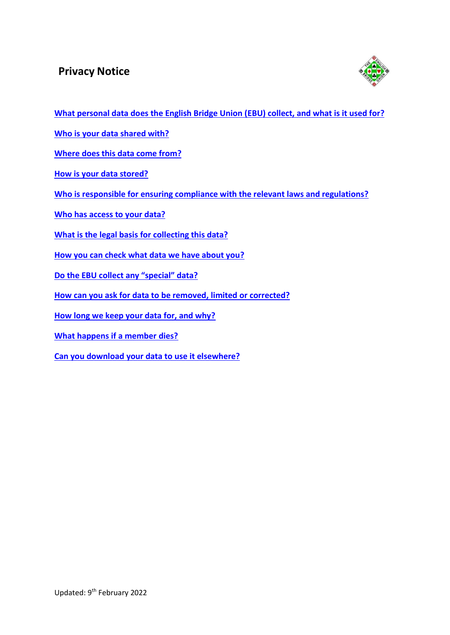# **Privacy Notice**



**What personal data does [the English Bridge](#page-1-0) Union (EBU) collect, and what is it used for?**

**Who is your [data shared](#page-2-0) with?**

**Where does [this data](#page-3-0) come from?**

**How is your [data stored?](#page-4-0)**

**Who is responsible for ensuring compliance with the relevant laws and [regulations?](#page-5-0)**

**Who [has access to](#page-6-0) your data?**

**What is the legal basis for [collecting](#page-7-0) this data?**

**How you [can check what](#page-8-0) data we have about you?**

**Do the EBU collect any "[special](#page-9-0)" data?**

**How can you ask for data to be [removed, limited](#page-10-0) or corrected?**

**How long we keep your [data for, and](#page-11-0) why?**

**What [happens](#page-12-0) if a member dies?**

**Can you download [your data to](#page-13-0) use it elsewhere?**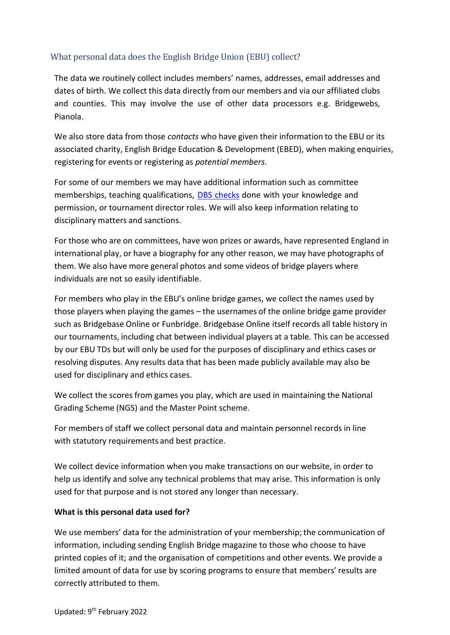## <span id="page-1-0"></span>What personal data does the English Bridge Union (EBU) collect?

The data we routinely collect includes members' names, addresses, email addresses and dates of birth. We collect this data directly from our members and via our affiliated clubs and counties. This may involve the use of other data processors e.g. Bridgewebs, Pianola.

We also store data from those *contacts* who have given their information to the EBU or its associated charity, English Bridge Education & Development (EBED), when making enquiries, registering for events or registering as *potential members*.

For some of our members we may have additional information such as committee memberships, teaching qualifications, [DBS checks](https://www.gov.uk/dbs-check-applicant-criminal-record) done with your knowledge and permission, or tournament director roles. We will also keep information relating to disciplinary matters and sanctions.

For those who are on committees, have won prizes or awards, have represented England in international play, or have a biography for any other reason, we may have photographs of them. We also have more general photos and some videos of bridge players where individuals are not so easily identifiable.

For members who play in the EBU's online bridge games, we collect the names used by those players when playing the games – the usernames of the online bridge game provider such as Bridgebase Online or Funbridge. Bridgebase Online itself records all table history in our tournaments, including chat between individual players at a table. This can be accessed by our EBU TDs but will only be used for the purposes of disciplinary and ethics cases or resolving disputes. Any results data that has been made publicly available may also be used for disciplinary and ethics cases.

We collect the scores from games you play, which are used in maintaining the National Grading Scheme (NGS) and the Master Point scheme.

For members of staff we collect personal data and maintain personnel recordsin line with statutory requirements and best practice.

We collect device information when you make transactions on our website, in order to help us identify and solve any technical problems that may arise. This information is only used for that purpose and is not stored any longer than necessary.

## **What is this personal data used for?**

We use members' data for the administration of your membership; the communication of information, including sending English Bridge magazine to those who choose to have printed copies of it; and the organisation of competitions and other events. We provide a limited amount of data for use by scoring programsto ensure that members' results are correctly attributed to them.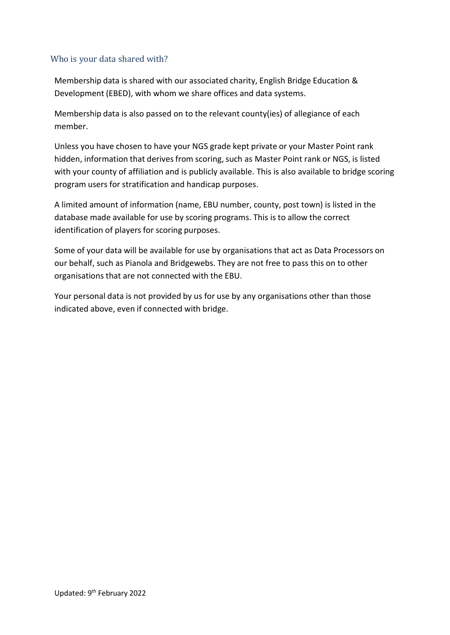## <span id="page-2-0"></span>Who is your data shared with?

Membership data is shared with our associated charity, English Bridge Education & Development (EBED), with whom we share offices and data systems.

Membership data is also passed on to the relevant county(ies) of allegiance of each member.

Unless you have chosen to have your NGS grade kept private or your Master Point rank hidden, information that derives from scoring, such as Master Point rank or NGS, is listed with your county of affiliation and is publicly available. This is also available to bridge scoring program users for stratification and handicap purposes.

A limited amount of information (name, EBU number, county, post town) is listed in the database made available for use by scoring programs. This is to allow the correct identification of players for scoring purposes.

Some of your data will be available for use by organisations that act as Data Processors on our behalf, such as Pianola and Bridgewebs. They are not free to pass this on to other organisations that are not connected with the EBU.

Your personal data is not provided by us for use by any organisations other than those indicated above, even if connected with bridge.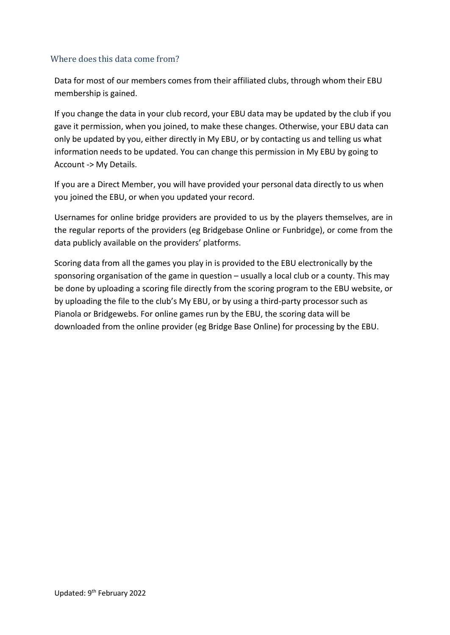#### <span id="page-3-0"></span>Where does this data come from?

Data for most of our members comes from their affiliated clubs, through whom their EBU membership is gained.

If you change the data in your club record, your EBU data may be updated by the club if you gave it permission, when you joined, to make these changes. Otherwise, your EBU data can only be updated by you, either directly in My EBU, or by contacting us and telling us what information needs to be updated. You can change this permission in My EBU by going to Account -> My Details.

If you are a Direct Member, you will have provided your personal data directly to us when you joined the EBU, or when you updated your record.

Usernames for online bridge providers are provided to us by the players themselves, are in the regular reports of the providers (eg Bridgebase Online or Funbridge), or come from the data publicly available on the providers' platforms.

Scoring data from all the games you play in is provided to the EBU electronically by the sponsoring organisation of the game in question – usually a local club or a county. This may be done by uploading a scoring file directly from the scoring program to the EBU website, or by uploading the file to the club's My EBU, or by using a third-party processor such as Pianola or Bridgewebs. For online games run by the EBU, the scoring data will be downloaded from the online provider (eg Bridge Base Online) for processing by the EBU.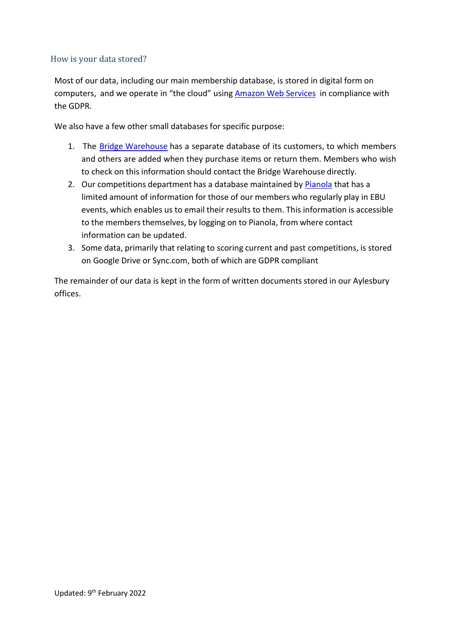#### <span id="page-4-0"></span>How is your data stored?

Most of our data, including our main membership database, is stored in digital form on computers, and we operate in "the cloud" using **[Amazon](https://aws.amazon.com/compliance/gdpr-center/) Web Services** in compliance with the GDPR.

We also have a few other small databases for specific purpose:

- 1. The Bridge [Warehouse](http://www.ebu.co.uk/bridge-warehouse) has a separate database of its customers, to which members and others are added when they purchase items or return them. Members who wish to check on this information should contact the Bridge Warehouse directly.
- 2. Our competitions department has a database maintained by **[Pianola](https://www.pianola.net/)** that has a limited amount of information for those of our members who regularly play in EBU events, which enables us to email their results to them. This information is accessible to the members themselves, by logging on to Pianola, from where contact information can be updated.
- 3. Some data, primarily that relating to scoring current and past competitions, is stored on Google Drive or Sync.com, both of which are GDPR compliant

The remainder of our data is kept in the form of written documents stored in our Aylesbury offices.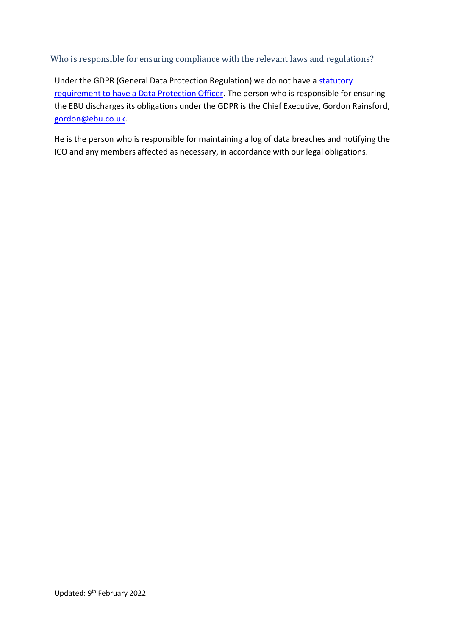<span id="page-5-0"></span>Who is responsible for ensuring compliance with the relevant laws and regulations?

Under the GDPR (General Data Protection Regulation) we do not have a [statutory](https://ico.org.uk/for-organisations/guide-to-the-general-data-protection-regulation-gdpr/accountability-and-governance/data-protection-officers/) [requirement](https://ico.org.uk/for-organisations/guide-to-the-general-data-protection-regulation-gdpr/accountability-and-governance/data-protection-officers/) to have a Data Protection Officer. The person who is responsible for ensuring the EBU discharges its obligations under the GDPR is the Chief Executive, Gordon Rainsford, [gordon@ebu.co.uk.](mailto:gordon@ebu.co.uk)

He is the person who is responsible for maintaining a log of data breaches and notifying the ICO and any members affected as necessary, in accordance with our legal obligations.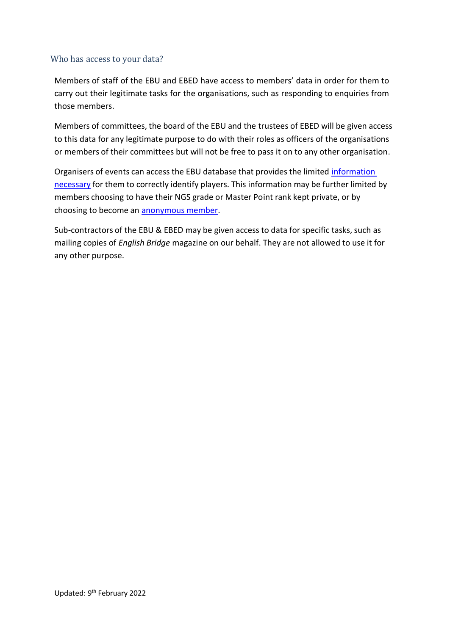#### <span id="page-6-0"></span>Who has access to your data?

Members of staff of the EBU and EBED have access to members' data in order for them to carry out their legitimate tasks for the organisations, such as responding to enquiries from those members.

Members of committees, the board of the EBU and the trustees of EBED will be given access to this data for any legitimate purpose to do with their roles as officers of the organisations or members of their committees but will not be free to pass it on to any other organisation.

Organisers of events can access the EBU database that provides the limited [information](#page-2-0) [necessary](#page-2-0) for them to correctly identify players. This information may be further limited by members choosing to have their NGS grade or Master Point rank kept private, or by choosing to become an [anonymous](#page-10-0) member.

Sub-contractors of the EBU & EBED may be given access to data for specific tasks, such as mailing copies of *English Bridge* magazine on our behalf. They are not allowed to use it for any other purpose.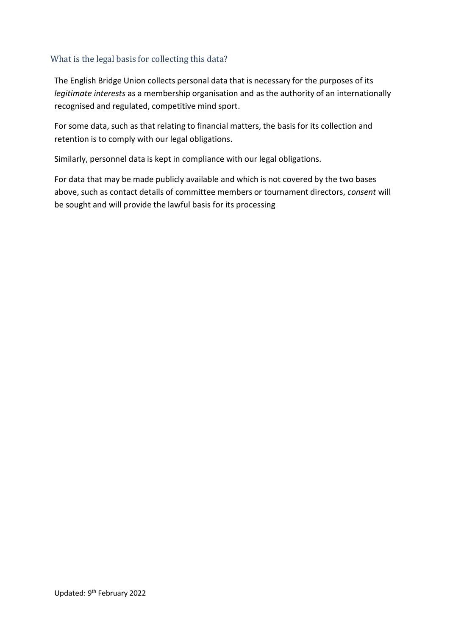## <span id="page-7-0"></span>What is the legal basis for collecting this data?

The English Bridge Union collects personal data that is necessary for the purposes of its *legitimate interests* as a membership organisation and as the authority of an internationally recognised and regulated, competitive mind sport.

For some data, such as that relating to financial matters, the basis for its collection and retention is to comply with our legal obligations.

Similarly, personnel data is kept in compliance with our legal obligations.

For data that may be made publicly available and which is not covered by the two bases above, such as contact details of committee members or tournament directors, *consent* will be sought and will provide the lawful basis for its processing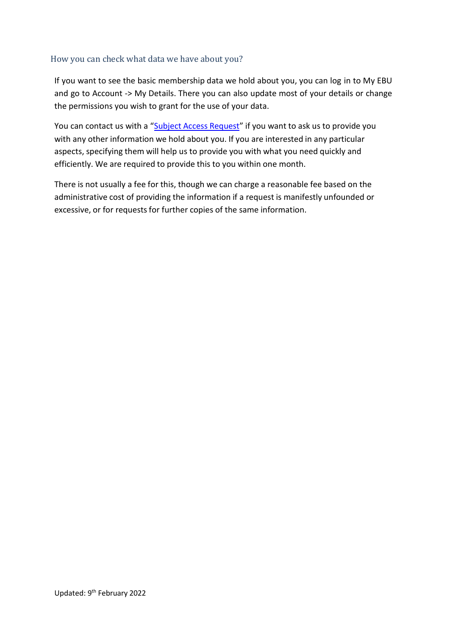#### <span id="page-8-0"></span>How you can check what data we have about you?

If you want to see the basic membership data we hold about you, you can log in to My EBU and go to Account -> My Details. There you can also update most of your details or change the permissions you wish to grant for the use of your data.

You can contact us with a "Subject Access [Request](https://ico.org.uk/for-the-public/personal-information/)" if you want to ask us to provide you with any other information we hold about you. If you are interested in any particular aspects, specifying them will help us to provide you with what you need quickly and efficiently. We are required to provide this to you within one month.

There is not usually a fee for this, though we can charge a reasonable fee based on the administrative cost of providing the information if a request is manifestly unfounded or excessive, or for requests for further copies of the same information.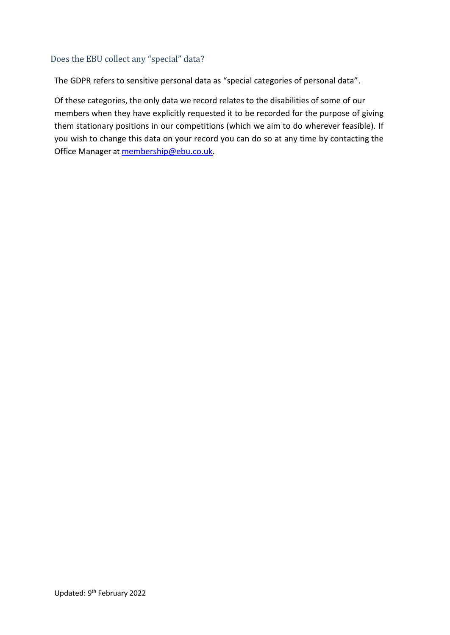#### <span id="page-9-0"></span>Does the EBU collect any "special" data?

The GDPR refers to sensitive personal data as "special categories of personal data".

Of these categories, the only data we record relates to the disabilities of some of our members when they have explicitly requested it to be recorded for the purpose of giving them stationary positions in our competitions (which we aim to do wherever feasible). If you wish to change this data on your record you can do so at any time by contacting the Office Manager at [membership@ebu.co.uk.](mailto:membership@ebu.co.uk)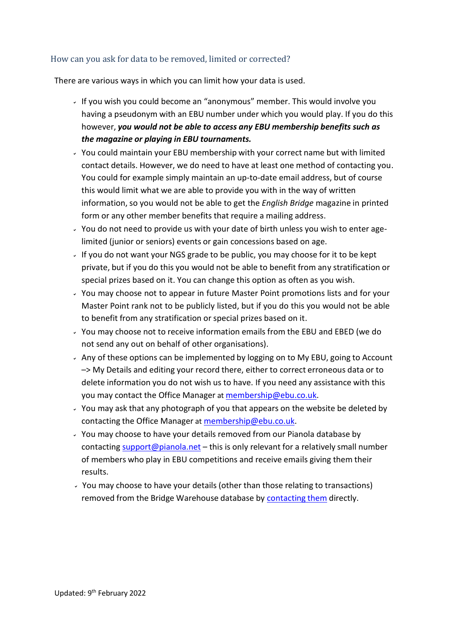## <span id="page-10-0"></span>How can you ask for data to be removed, limited or corrected?

There are various ways in which you can limit how your data is used.

- If you wish you could become an "anonymous" member. This would involve you having a pseudonym with an EBU number under which you would play. If you do this however, *you would not be able to access any EBU membership benefits such as the magazine or playing in EBU tournaments.*
- $\sim$  You could maintain your EBU membership with your correct name but with limited contact details. However, we do need to have at least one method of contacting you. You could for example simply maintain an up-to-date email address, but of course this would limit what we are able to provide you with in the way of written information,so you would not be able to get the *English Bridge* magazine in printed form or any other member benefits that require a mailing address.
- $\overline{y}$  You do not need to provide us with your date of birth unless you wish to enter agelimited (junior or seniors) events or gain concessions based on age.
- If you do not want your NGS grade to be public, you may choose for it to be kept private, but if you do this you would not be able to benefit from any stratification or special prizes based on it. You can change this option as often as you wish.
- $\cdot$  You may choose not to appear in future Master Point promotions lists and for your Master Point rank not to be publicly listed, but if you do this you would not be able to benefit from any stratification or special prizes based on it.
- You may choose not to receive information emails from the EBU and EBED (we do not send any out on behalf of other organisations).
- $\sim$  Any of these options can be implemented by logging on to My EBU, going to Account –> My Details and editing your record there, either to correct erroneous data or to delete information you do not wish us to have. If you need any assistance with this you may contact the Office Manager at [membership@ebu.co.uk.](mailto:membership@ebu.co.uk)
- $\overline{y}$  You may ask that any photograph of you that appears on the website be deleted by contacting the Office Manager at [membership@ebu.co.uk.](mailto:membership@ebu.co.uk)
- You may choose to have your details removed from our Pianola database by contacting [support@pianola.net](mailto:support@pianola.net) – this is only relevant for a relatively small number of members who play in EBU competitions and receive emails giving them their results.
- $\cdot$  You may choose to have your details (other than those relating to transactions) removed from the Bridge Warehouse database by [contacting](mailto:sue@ebu.co.uk) them directly.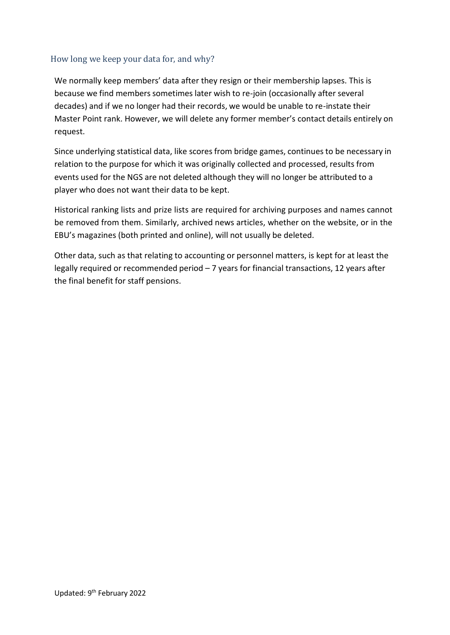## <span id="page-11-0"></span>How long we keep your data for, and why?

We normally keep members' data after they resign or their membership lapses. This is because we find members sometimes later wish to re-join (occasionally after several decades) and if we no longer had their records, we would be unable to re-instate their Master Point rank. However, we will delete any former member's contact details entirely on request.

Since underlying statistical data, like scores from bridge games, continuesto be necessary in relation to the purpose for which it was originally collected and processed, results from events used for the NGS are not deleted although they will no longer be attributed to a player who does not want their data to be kept.

Historical ranking lists and prize lists are required for archiving purposes and names cannot be removed from them. Similarly, archived news articles, whether on the website, or in the EBU's magazines (both printed and online), will not usually be deleted.

Other data, such as that relating to accounting or personnel matters, is kept for at least the legally required or recommended period – 7 years for financial transactions, 12 years after the final benefit for staff pensions.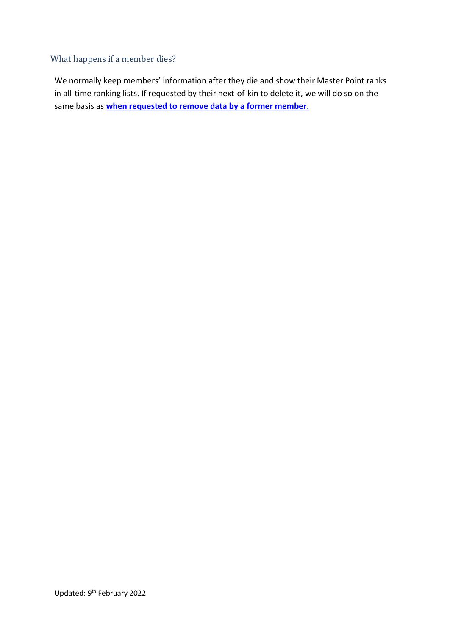## <span id="page-12-0"></span>What happens if a member dies?

We normally keep members' information after they die and show their Master Point ranks in all-time ranking lists. If requested by their next-of-kin to delete it, we will do so on the same basis as **when [requested to](#page-11-0) remove data by a former member.**